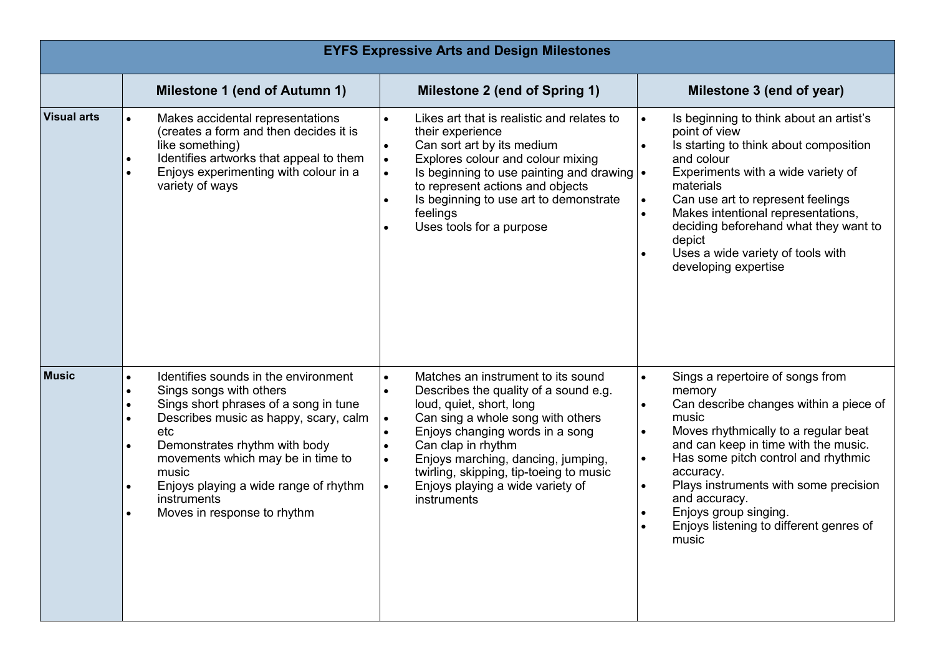| <b>EYFS Expressive Arts and Design Milestones</b> |                                                                                                                                                                                                                                                                                                                                                                                    |                                                                                                                                                                                                                                                                                                                                                                                                                                      |                                                                                                                                                                                                                                                                                                                                                                                                                              |  |
|---------------------------------------------------|------------------------------------------------------------------------------------------------------------------------------------------------------------------------------------------------------------------------------------------------------------------------------------------------------------------------------------------------------------------------------------|--------------------------------------------------------------------------------------------------------------------------------------------------------------------------------------------------------------------------------------------------------------------------------------------------------------------------------------------------------------------------------------------------------------------------------------|------------------------------------------------------------------------------------------------------------------------------------------------------------------------------------------------------------------------------------------------------------------------------------------------------------------------------------------------------------------------------------------------------------------------------|--|
|                                                   | <b>Milestone 1 (end of Autumn 1)</b>                                                                                                                                                                                                                                                                                                                                               | Milestone 2 (end of Spring 1)                                                                                                                                                                                                                                                                                                                                                                                                        | Milestone 3 (end of year)                                                                                                                                                                                                                                                                                                                                                                                                    |  |
| <b>Visual arts</b>                                | Makes accidental representations<br>$\bullet$<br>(creates a form and then decides it is<br>like something)<br>Identifies artworks that appeal to them<br>$\bullet$<br>Enjoys experimenting with colour in a<br>$\bullet$<br>variety of ways                                                                                                                                        | Likes art that is realistic and relates to<br>$\bullet$<br>their experience<br>Can sort art by its medium<br>$\bullet$<br>Explores colour and colour mixing<br>$\bullet$<br>Is beginning to use painting and drawing $\cdot$<br>$\bullet$<br>to represent actions and objects<br>Is beginning to use art to demonstrate<br>$\bullet$<br>feelings<br>Uses tools for a purpose<br>$\bullet$                                            | Is beginning to think about an artist's<br>point of view<br>Is starting to think about composition<br>and colour<br>Experiments with a wide variety of<br>materials<br>Can use art to represent feelings<br>$\bullet$<br>Makes intentional representations,<br>$\bullet$<br>deciding beforehand what they want to<br>depict<br>Uses a wide variety of tools with<br>developing expertise                                     |  |
| <b>Music</b>                                      | Identifies sounds in the environment<br>$\bullet$<br>Sings songs with others<br>$\bullet$<br>Sings short phrases of a song in tune<br>Describes music as happy, scary, calm<br>etc<br>Demonstrates rhythm with body<br>$\bullet$<br>movements which may be in time to<br>music<br>Enjoys playing a wide range of rhythm<br>$\bullet$<br>instruments<br>Moves in response to rhythm | Matches an instrument to its sound<br>$\bullet$<br>Describes the quality of a sound e.g.<br>$\bullet$<br>loud, quiet, short, long<br>Can sing a whole song with others<br>$\bullet$<br>Enjoys changing words in a song<br>$\bullet$<br>Can clap in rhythm<br>$\bullet$<br>Enjoys marching, dancing, jumping,<br>$\bullet$<br>twirling, skipping, tip-toeing to music<br>Enjoys playing a wide variety of<br>$\bullet$<br>instruments | Sings a repertoire of songs from<br>$\bullet$<br>memory<br>Can describe changes within a piece of<br>music<br>Moves rhythmically to a regular beat<br>$\bullet$<br>and can keep in time with the music.<br>Has some pitch control and rhythmic<br>$\bullet$<br>accuracy.<br>Plays instruments with some precision<br>$\bullet$<br>and accuracy.<br>Enjoys group singing.<br>Enjoys listening to different genres of<br>music |  |